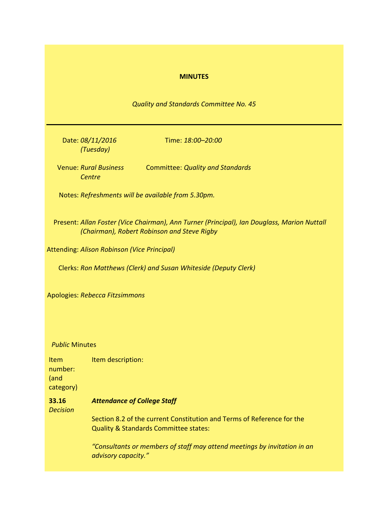## **MINUTES**

*Quality and Standards Committee No. 45*

Date: *08/11/2016 (Tuesday)*

Time: *18:00–20:00*

Venue: *Rural Business Centre* Committee: *Quality and Standards*

Notes: *Refreshments will be available from 5.30pm.*

Present: *Allan Foster (Vice Chairman), Ann Turner (Principal), Ian Douglass, Marion Nuttall (Chairman), Robert Robinson and Steve Rigby*

Attending: *Alison Robinson (Vice Principal)*

Clerks: *Ron Matthews (Clerk) and Susan Whiteside (Deputy Clerk)*

Apologies: *Rebecca Fitzsimmons*

## *Public* Minutes

Item number: (and category) Item description: **33.16**

*Decision*

*Attendance of College Staff*

Section 8.2 of the current Constitution and Terms of Reference for the Quality & Standards Committee states:

*"Consultants or members of staff may attend meetings by invitation in an advisory capacity."*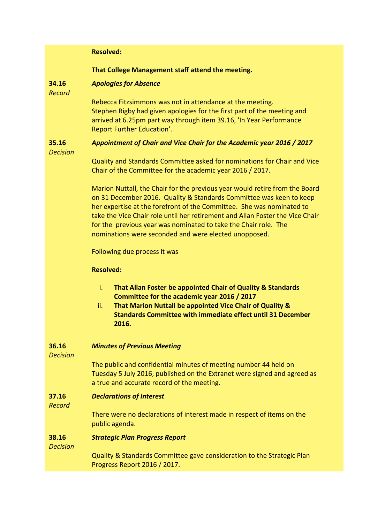## **Resolved:**

## **That College Management staff attend the meeting.**

#### **34.16** *Apologies for Absence*

*Record*

Rebecca Fitzsimmons was not in attendance at the meeting. Stephen Rigby had given apologies for the first part of the meeting and arrived at 6.25pm part way through item 39.16, 'In Year Performance Report Further Education'.

#### **35.16** *Appointment of Chair and Vice Chair for the Academic year 2016 / 2017*

*Decision*

Quality and Standards Committee asked for nominations for Chair and Vice Chair of the Committee for the academic year 2016 / 2017.

Marion Nuttall, the Chair for the previous year would retire from the Board on 31 December 2016. Quality & Standards Committee was keen to keep her expertise at the forefront of the Committee. She was nominated to take the Vice Chair role until her retirement and Allan Foster the Vice Chair for the previous year was nominated to take the Chair role. The nominations were seconded and were elected unopposed.

Following due process it was

## **Resolved:**

- i. **That Allan Foster be appointed Chair of Quality & Standards Committee for the academic year 2016 / 2017**
- ii. **That Marion Nuttall be appointed Vice Chair of Quality & Standards Committee with immediate effect until 31 December 2016.**

#### **36.16** *Minutes of Previous Meeting*

*Decision*

The public and confidential minutes of meeting number 44 held on Tuesday 5 July 2016, published on the Extranet were signed and agreed as a true and accurate record of the meeting.

#### **37.16** *Declarations of Interest*

*Record*

There were no declarations of interest made in respect of items on the public agenda.

#### **38.16** *Strategic Plan Progress Report*

*Decision*

Quality & Standards Committee gave consideration to the Strategic Plan Progress Report 2016 / 2017.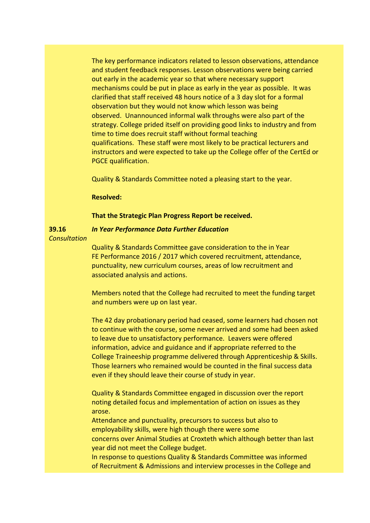The key performance indicators related to lesson observations, attendance and student feedback responses. Lesson observations were being carried out early in the academic year so that where necessary support mechanisms could be put in place as early in the year as possible. It was clarified that staff received 48 hours notice of a 3 day slot for a formal observation but they would not know which lesson was being observed. Unannounced informal walk throughs were also part of the strategy. College prided itself on providing good links to industry and from time to time does recruit staff without formal teaching qualifications. These staff were most likely to be practical lecturers and instructors and were expected to take up the College offer of the CertEd or PGCE qualification.

Quality & Standards Committee noted a pleasing start to the year.

### **Resolved:**

#### **That the Strategic Plan Progress Report be received.**

### *In Year Performance Data Further Education*

*Consultation*

**39.16**

Quality & Standards Committee gave consideration to the in Year FE Performance 2016 / 2017 which covered recruitment, attendance, punctuality, new curriculum courses, areas of low recruitment and associated analysis and actions.

Members noted that the College had recruited to meet the funding target and numbers were up on last year.

The 42 day probationary period had ceased, some learners had chosen not to continue with the course, some never arrived and some had been asked to leave due to unsatisfactory performance. Leavers were offered information, advice and guidance and if appropriate referred to the College Traineeship programme delivered through Apprenticeship & Skills. Those learners who remained would be counted in the final success data even if they should leave their course of study in year.

Quality & Standards Committee engaged in discussion over the report noting detailed focus and implementation of action on issues as they arose.

Attendance and punctuality, precursors to success but also to employability skills, were high though there were some concerns over Animal Studies at Croxteth which although better than last year did not meet the College budget.

In response to questions Quality & Standards Committee was informed of Recruitment & Admissions and interview processes in the College and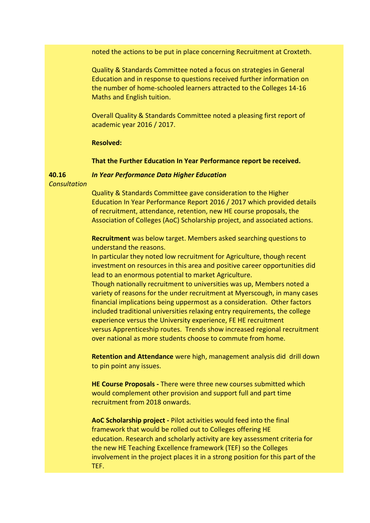noted the actions to be put in place concerning Recruitment at Croxteth.

Quality & Standards Committee noted a focus on strategies in General Education and in response to questions received further information on the number of home-schooled learners attracted to the Colleges 14-16 Maths and English tuition.

Overall Quality & Standards Committee noted a pleasing first report of academic year 2016 / 2017.

### **Resolved:**

### **That the Further Education In Year Performance report be received.**

**40.16**

*In Year Performance Data Higher Education*

*Consultation*

Quality & Standards Committee gave consideration to the Higher Education In Year Performance Report 2016 / 2017 which provided details of recruitment, attendance, retention, new HE course proposals, the Association of Colleges (AoC) Scholarship project, and associated actions.

**Recruitment** was below target. Members asked searching questions to understand the reasons.

In particular they noted low recruitment for Agriculture, though recent investment on resources in this area and positive career opportunities did lead to an enormous potential to market Agriculture.

Though nationally recruitment to universities was up, Members noted a variety of reasons for the under recruitment at Myerscough, in many cases financial implications being uppermost as a consideration. Other factors included traditional universities relaxing entry requirements, the college experience versus the University experience, FE HE recruitment versus Apprenticeship routes. Trends show increased regional recruitment over national as more students choose to commute from home.

**Retention and Attendance** were high, management analysis did drill down to pin point any issues.

**HE Course Proposals -** There were three new courses submitted which would complement other provision and support full and part time recruitment from 2018 onwards.

**AoC Scholarship project -** Pilot activities would feed into the final framework that would be rolled out to Colleges offering HE education. Research and scholarly activity are key assessment criteria for the new HE Teaching Excellence framework (TEF) so the Colleges involvement in the project places it in a strong position for this part of the TEF.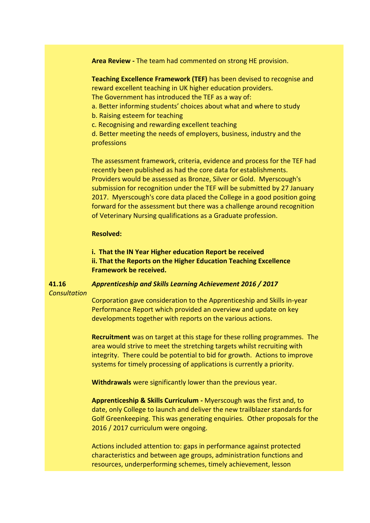**Area Review -** The team had commented on strong HE provision.

**Teaching Excellence Framework (TEF)** has been devised to recognise and reward excellent teaching in UK higher education providers.

The Government has introduced the TEF as a way of:

- a. Better informing students' choices about what and where to study
- b. Raising esteem for teaching
- c. Recognising and rewarding excellent teaching

d. Better meeting the needs of employers, business, industry and the professions

The assessment framework, criteria, evidence and process for the TEF had recently been published as had the core data for establishments. Providers would be assessed as Bronze, Silver or Gold. Myerscough's submission for recognition under the TEF will be submitted by 27 January 2017. Myerscough's core data placed the College in a good position going forward for the assessment but there was a challenge around recognition of Veterinary Nursing qualifications as a Graduate profession.

### **Resolved:**

**i. That the IN Year Higher education Report be received ii. That the Reports on the Higher Education Teaching Excellence Framework be received.**

# *Apprenticeship and Skills Learning Achievement 2016 / 2017*

*Consultation*

**41.16**

Corporation gave consideration to the Apprenticeship and Skills in-year Performance Report which provided an overview and update on key developments together with reports on the various actions.

**Recruitment** was on target at this stage for these rolling programmes. The area would strive to meet the stretching targets whilst recruiting with integrity. There could be potential to bid for growth. Actions to improve systems for timely processing of applications is currently a priority.

**Withdrawals** were significantly lower than the previous year.

**Apprenticeship & Skills Curriculum -** Myerscough was the first and, to date, only College to launch and deliver the new trailblazer standards for Golf Greenkeeping. This was generating enquiries. Other proposals for the 2016 / 2017 curriculum were ongoing.

Actions included attention to: gaps in performance against protected characteristics and between age groups, administration functions and resources, underperforming schemes, timely achievement, lesson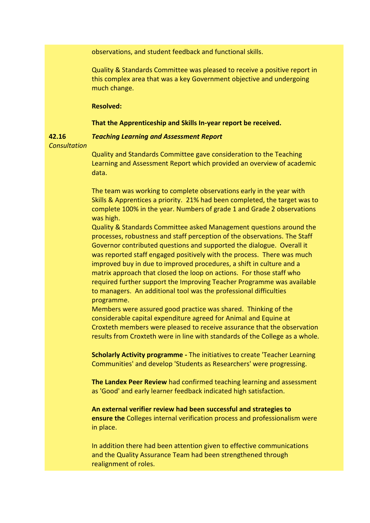observations, and student feedback and functional skills.

Quality & Standards Committee was pleased to receive a positive report in this complex area that was a key Government objective and undergoing much change.

### **Resolved:**

### **That the Apprenticeship and Skills In-year report be received.**

### *Teaching Learning and Assessment Report*

*Consultation*

**42.16**

Quality and Standards Committee gave consideration to the Teaching Learning and Assessment Report which provided an overview of academic data.

The team was working to complete observations early in the year with Skills & Apprentices a priority. 21% had been completed, the target was to complete 100% in the year. Numbers of grade 1 and Grade 2 observations was high.

Quality & Standards Committee asked Management questions around the processes, robustness and staff perception of the observations. The Staff Governor contributed questions and supported the dialogue. Overall it was reported staff engaged positively with the process. There was much improved buy in due to improved procedures, a shift in culture and a matrix approach that closed the loop on actions. For those staff who required further support the Improving Teacher Programme was available to managers. An additional tool was the professional difficulties programme.

Members were assured good practice was shared. Thinking of the considerable capital expenditure agreed for Animal and Equine at Croxteth members were pleased to receive assurance that the observation results from Croxteth were in line with standards of the College as a whole.

**Scholarly Activity programme -** The initiatives to create 'Teacher Learning Communities' and develop 'Students as Researchers' were progressing.

**The Landex Peer Review** had confirmed teaching learning and assessment as 'Good' and early learner feedback indicated high satisfaction.

**An external verifier review had been successful and strategies to ensure the** Colleges internal verification process and professionalism were in place.

In addition there had been attention given to effective communications and the Quality Assurance Team had been strengthened through realignment of roles.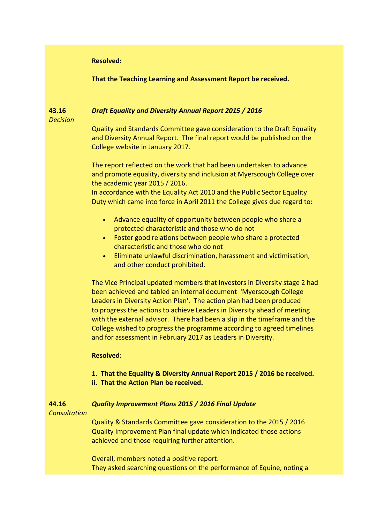### **Resolved:**

**That the Teaching Learning and Assessment Report be received.**

#### **43.16** *Draft Equality and Diversity Annual Report 2015 / 2016*

*Decision*

Quality and Standards Committee gave consideration to the Draft Equality and Diversity Annual Report. The final report would be published on the College website in January 2017.

The report reflected on the work that had been undertaken to advance and promote equality, diversity and inclusion at Myerscough College over the academic year 2015 / 2016.

In accordance with the Equality Act 2010 and the Public Sector Equality Duty which came into force in April 2011 the College gives due regard to:

- Advance equality of opportunity between people who share a protected characteristic and those who do not
- Foster good relations between people who share a protected characteristic and those who do not
- Eliminate unlawful discrimination, harassment and victimisation, and other conduct prohibited.

The Vice Principal updated members that Investors in Diversity stage 2 had been achieved and tabled an internal document 'Myerscough College Leaders in Diversity Action Plan'. The action plan had been produced to progress the actions to achieve Leaders in Diversity ahead of meeting with the external advisor. There had been a slip in the timeframe and the College wished to progress the programme according to agreed timelines and for assessment in February 2017 as Leaders in Diversity.

### **Resolved:**

- **1. That the Equality & Diversity Annual Report 2015 / 2016 be received.**
- **ii. That the Action Plan be received.**

#### **44.16** *Quality Improvement Plans 2015 / 2016 Final Update*

## *Consultation*

Quality & Standards Committee gave consideration to the 2015 / 2016 Quality Improvement Plan final update which indicated those actions achieved and those requiring further attention.

Overall, members noted a positive report. They asked searching questions on the performance of Equine, noting a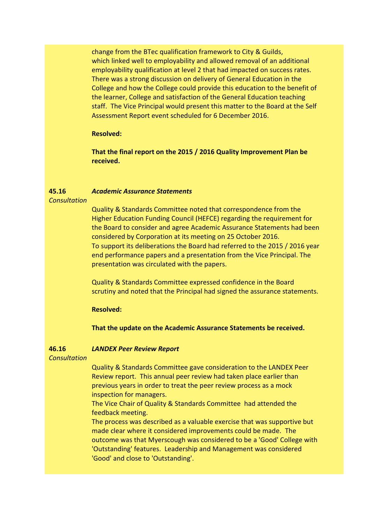change from the BTec qualification framework to City & Guilds, which linked well to employability and allowed removal of an additional employability qualification at level 2 that had impacted on success rates. There was a strong discussion on delivery of General Education in the College and how the College could provide this education to the benefit of the learner, College and satisfaction of the General Education teaching staff. The Vice Principal would present this matter to the Board at the Self Assessment Report event scheduled for 6 December 2016.

## **Resolved:**

**That the final report on the 2015 / 2016 Quality Improvement Plan be received.**

#### **45.16** *Academic Assurance Statements*

## *Consultation*

Quality & Standards Committee noted that correspondence from the Higher Education Funding Council (HEFCE) regarding the requirement for the Board to consider and agree Academic Assurance Statements had been considered by Corporation at its meeting on 25 October 2016. To support its deliberations the Board had referred to the 2015 / 2016 year end performance papers and a presentation from the Vice Principal. The presentation was circulated with the papers.

Quality & Standards Committee expressed confidence in the Board scrutiny and noted that the Principal had signed the assurance statements.

## **Resolved:**

**That the update on the Academic Assurance Statements be received.**

#### **46.16** *LANDEX Peer Review Report*

## *Consultation*

Quality & Standards Committee gave consideration to the LANDEX Peer Review report. This annual peer review had taken place earlier than previous years in order to treat the peer review process as a mock inspection for managers.

The Vice Chair of Quality & Standards Committee had attended the feedback meeting.

The process was described as a valuable exercise that was supportive but made clear where it considered improvements could be made. The outcome was that Myerscough was considered to be a 'Good' College with 'Outstanding' features. Leadership and Management was considered 'Good' and close to 'Outstanding'.